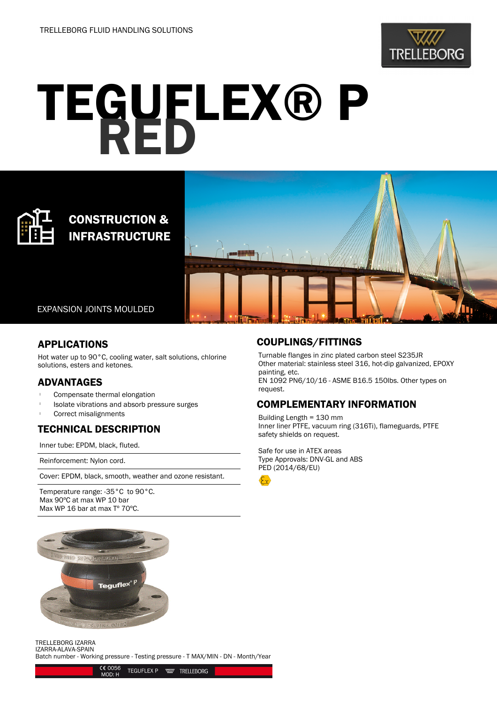

# TEGUFLEX® P

# CONSTRUCTION & INFRASTRUCTURE



EXPANSION JOINTS MOULDED

### APPLICATIONS

Hot water up to 90°C, cooling water, salt solutions, chlorine solutions, esters and ketones.

### ADVANTAGES

- Compensate thermal elongation
- <sup>l</sup> Isolate vibrations and absorb pressure surges
- Correct misalignments

## TECHNICAL DESCRIPTION

Inner tube: EPDM, black, fluted.

Reinforcement: Nylon cord.

Cover: EPDM, black, smooth, weather and ozone resistant.

Temperature range: -35°C to 90°C. Max 90ºC at max WP 10 bar Max WP 16 bar at max Tº 70ºC.



### TRELLEBORG IZARRA IZARRA-ALAVA-SPAIN

Batch number - Working pressure - Testing pressure - T MAX/MIN - DN - Month/Year



### COUPLINGS/FITTINGS

Turnable flanges in zinc plated carbon steel S235JR Other material: stainless steel 316, hot-dip galvanized, EPOXY painting, etc. EN 1092 PN6/10/16 - ASME B16.5 150lbs. Other types on request.

## COMPLEMENTARY INFORMATION

Building Length = 130 mm Inner liner PTFE, vacuum ring (316Ti), flameguards, PTFE safety shields on request.

Safe for use in ATEX areas Type Approvals: DNV-GL and ABS PED (2014/68/EU)